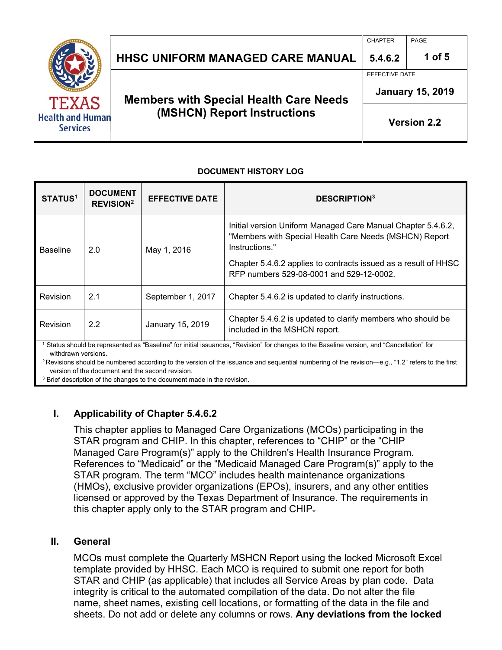|                                                     |                                               | <b>CHAPTER</b>          | PAGE               |
|-----------------------------------------------------|-----------------------------------------------|-------------------------|--------------------|
|                                                     | <b>HHSC UNIFORM MANAGED CARE MANUAL</b>       | 5.4.6.2                 | 1 of 5             |
|                                                     |                                               | <b>EFFECTIVE DATE</b>   |                    |
| TEXAS<br><b>Health and Human</b><br><b>Services</b> | <b>Members with Special Health Care Needs</b> | <b>January 15, 2019</b> |                    |
|                                                     | (MSHCN) Report Instructions                   |                         | <b>Version 2.2</b> |

#### **DOCUMENT HISTORY LOG**

| STATUS <sup>1</sup> | <b>DOCUMENT</b><br><b>REVISION<sup>2</sup></b> | <b>EFFECTIVE DATE</b> | <b>DESCRIPTION3</b>                                                                                                                      |
|---------------------|------------------------------------------------|-----------------------|------------------------------------------------------------------------------------------------------------------------------------------|
| <b>Baseline</b>     | 2.0                                            | May 1, 2016           | Initial version Uniform Managed Care Manual Chapter 5.4.6.2,<br>"Members with Special Health Care Needs (MSHCN) Report<br>Instructions." |
|                     |                                                |                       | Chapter 5.4.6.2 applies to contracts issued as a result of HHSC<br>RFP numbers 529-08-0001 and 529-12-0002.                              |
| Revision            | 2.1                                            | September 1, 2017     | Chapter 5.4.6.2 is updated to clarify instructions.                                                                                      |
| Revision            | 2.2                                            | January 15, 2019      | Chapter 5.4.6.2 is updated to clarify members who should be<br>included in the MSHCN report.                                             |
| withdrawn versions. |                                                |                       | Status should be represented as "Baseline" for initial issuances, "Revision" for changes to the Baseline version, and "Cancellation" for |

<sup>2</sup> Revisions should be numbered according to the version of the issuance and sequential numbering of the revision—e.g., "1.2" refers to the first version of the document and the second revision.

<sup>3</sup> Brief description of the changes to the document made in the revision.

### **I. Applicability of Chapter 5.4.6.2**

This chapter applies to Managed Care Organizations (MCOs) participating in the STAR program and CHIP. In this chapter, references to "CHIP" or the "CHIP Managed Care Program(s)" apply to the Children's Health Insurance Program. References to "Medicaid" or the "Medicaid Managed Care Program(s)" apply to the STAR program. The term "MCO" includes health maintenance organizations (HMOs), exclusive provider organizations (EPOs), insurers, and any other entities licensed or approved by the Texas Department of Insurance. The requirements in this chapter apply only to the STAR program and CHIP.

#### **II. General**

MCOs must complete the Quarterly MSHCN Report using the locked Microsoft Excel template provided by HHSC. Each MCO is required to submit one report for both STAR and CHIP (as applicable) that includes all Service Areas by plan code. Data integrity is critical to the automated compilation of the data. Do not alter the file name, sheet names, existing cell locations, or formatting of the data in the file and sheets. Do not add or delete any columns or rows. **Any deviations from the locked**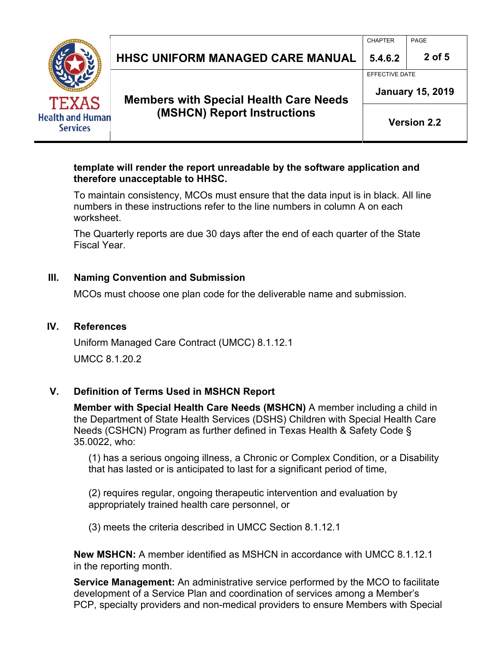|                                                            |                                               | <b>CHAPTER</b>                            | PAGE     |  |
|------------------------------------------------------------|-----------------------------------------------|-------------------------------------------|----------|--|
|                                                            | <b>HHSC UNIFORM MANAGED CARE MANUAL</b>       | 5.4.6.2                                   | $2$ of 5 |  |
| <b>TEXAS</b><br><b>Health and Human</b><br><b>Services</b> | <b>Members with Special Health Care Needs</b> | EFFECTIVE DATE<br><b>January 15, 2019</b> |          |  |
|                                                            | (MSHCN) Report Instructions                   | <b>Version 2.2</b>                        |          |  |

### **template will render the report unreadable by the software application and therefore unacceptable to HHSC.**

To maintain consistency, MCOs must ensure that the data input is in black. All line numbers in these instructions refer to the line numbers in column A on each worksheet.

The Quarterly reports are due 30 days after the end of each quarter of the State Fiscal Year.

## **III. Naming Convention and Submission**

MCOs must choose one plan code for the deliverable name and submission.

## **IV. References**

Uniform Managed Care Contract (UMCC) 8.1.12.1 UMCC 8.1.20.2

## **V. Definition of Terms Used in MSHCN Report**

**Member with Special Health Care Needs (MSHCN)** A member including a child in the Department of State Health Services (DSHS) Children with Special Health Care Needs (CSHCN) Program as further defined in Texas Health & Safety Code § 35.0022, who:

(1) has a serious ongoing illness, a Chronic or Complex Condition, or a Disability that has lasted or is anticipated to last for a significant period of time,

(2) requires regular, ongoing therapeutic intervention and evaluation by appropriately trained health care personnel, or

(3) meets the criteria described in UMCC Section 8.1.12.1

**New MSHCN:** A member identified as MSHCN in accordance with UMCC 8.1.12.1 in the reporting month.

**Service Management:** An administrative service performed by the MCO to facilitate development of a Service Plan and coordination of services among a Member's PCP, specialty providers and non-medical providers to ensure Members with Special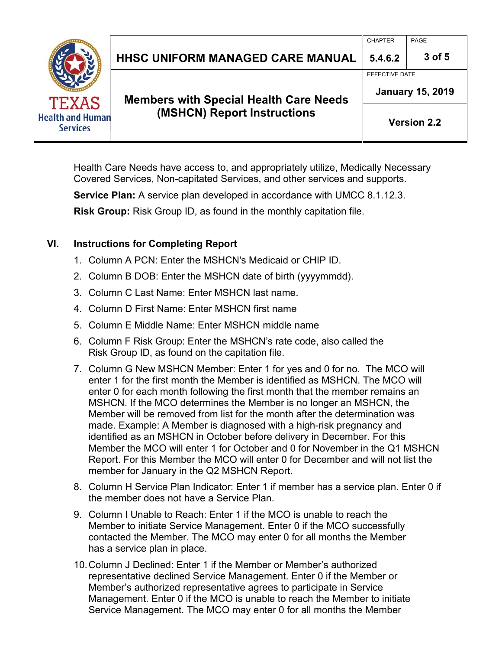|                                                            |                                               | <b>CHAPTER</b>                            | PAGE   |  |
|------------------------------------------------------------|-----------------------------------------------|-------------------------------------------|--------|--|
| <b>TEXAS</b><br><b>Health and Human</b><br><b>Services</b> | <b>HHSC UNIFORM MANAGED CARE MANUAL</b>       | 5.4.6.2                                   | 3 of 5 |  |
|                                                            | <b>Members with Special Health Care Needs</b> | EFFECTIVE DATE<br><b>January 15, 2019</b> |        |  |
|                                                            | (MSHCN) Report Instructions                   | <b>Version 2.2</b>                        |        |  |

Health Care Needs have access to, and appropriately utilize, Medically Necessary Covered Services, Non-capitated Services, and other services and supports.

**Service Plan:** A service plan developed in accordance with UMCC 8.1.12.3.

**Risk Group:** Risk Group ID, as found in the monthly capitation file.

# **VI. Instructions for Completing Report**

- 1. Column A PCN: Enter the MSHCN's Medicaid or CHIP ID.
- 2. Column B DOB: Enter the MSHCN date of birth (yyyymmdd).
- 3. Column C Last Name: Enter MSHCN last name.
- 4. Column D First Name: Enter MSHCN first name
- 5. Column E Middle Name: Enter MSHCN middle name
- 6. Column F Risk Group: Enter the MSHCN's rate code, also called the Risk Group ID, as found on the capitation file.
- 7. Column G New MSHCN Member: Enter 1 for yes and 0 for no. The MCO will enter 1 for the first month the Member is identified as MSHCN. The MCO will enter 0 for each month following the first month that the member remains an MSHCN. If the MCO determines the Member is no longer an MSHCN, the Member will be removed from list for the month after the determination was made. Example: A Member is diagnosed with a high-risk pregnancy and identified as an MSHCN in October before delivery in December. For this Member the MCO will enter 1 for October and 0 for November in the Q1 MSHCN Report. For this Member the MCO will enter 0 for December and will not list the member for January in the Q2 MSHCN Report.
- 8. Column H Service Plan Indicator: Enter 1 if member has a service plan. Enter 0 if the member does not have a Service Plan.
- 9. Column I Unable to Reach: Enter 1 if the MCO is unable to reach the Member to initiate Service Management. Enter 0 if the MCO successfully contacted the Member. The MCO may enter 0 for all months the Member has a service plan in place.
- 10. Column J Declined: Enter 1 if the Member or Member's authorized representative declined Service Management. Enter 0 if the Member or Member's authorized representative agrees to participate in Service Management. Enter 0 if the MCO is unable to reach the Member to initiate Service Management. The MCO may enter 0 for all months the Member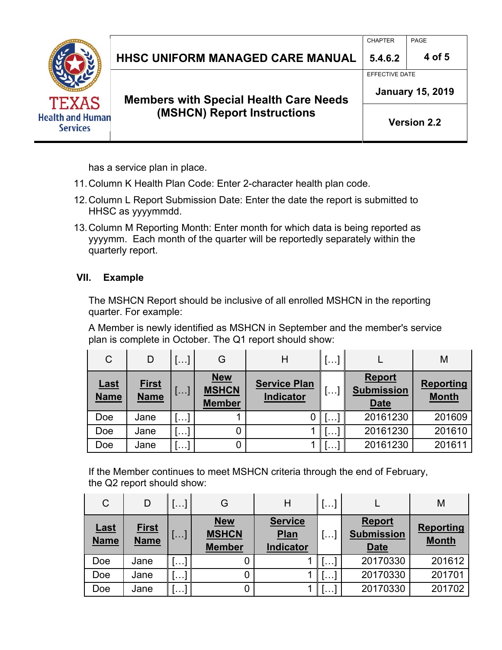|                                                            |                                               | <b>CHAPTER</b>          | PAGE   |
|------------------------------------------------------------|-----------------------------------------------|-------------------------|--------|
|                                                            | <b>HHSC UNIFORM MANAGED CARE MANUAL</b>       | 5.4.6.2                 | 4 of 5 |
|                                                            |                                               | <b>EFFECTIVE DATE</b>   |        |
| <b>TEXAS</b><br><b>Health and Human</b><br><b>Services</b> | <b>Members with Special Health Care Needs</b> | <b>January 15, 2019</b> |        |
|                                                            | (MSHCN) Report Instructions                   | <b>Version 2.2</b>      |        |

has a service plan in place.

- 11. Column K Health Plan Code: Enter 2-character health plan code.
- 12. Column L Report Submission Date: Enter the date the report is submitted to HHSC as yyyymmdd.
- 13. Column M Reporting Month: Enter month for which data is being reported as yyyymm. Each month of the quarter will be reportedly separately within the quarterly report.

# **VII. Example**

The MSHCN Report should be inclusive of all enrolled MSHCN in the reporting quarter. For example:

A Member is newly identified as MSHCN in September and the member's service plan is complete in October. The Q1 report should show:

| $\mathsf{C}$               | D                           | []                       | G                                           | Η                                | $\left  \ldots \right $ |                                                   | M                                |
|----------------------------|-----------------------------|--------------------------|---------------------------------------------|----------------------------------|-------------------------|---------------------------------------------------|----------------------------------|
| <u>Last</u><br><b>Name</b> | <u>First</u><br><b>Name</b> | $\lfloor \ldots \rfloor$ | <b>New</b><br><b>MSHCN</b><br><b>Member</b> | <b>Service Plan</b><br>Indicator |                         | <b>Report</b><br><b>Submission</b><br><b>Date</b> | <b>Reporting</b><br><b>Month</b> |
| Doe                        | Jane                        | ! <b>.</b>               |                                             |                                  |                         | 20161230                                          | 201609                           |
| Doe                        | Jane                        | $\sim$ $\sim$ $\sim$     |                                             |                                  |                         | 20161230                                          | 201610                           |
| Doe                        | Jane                        | $\cdots$                 |                                             |                                  |                         | 20161230                                          | 201611                           |

If the Member continues to meet MSHCN criteria through the end of February, the Q2 report should show:

| $\mathsf{C}$               | D                           | $\vert \ldots \vert$ | G                                           | Н                                          | $\sim 100$ |                                                   | M                                |
|----------------------------|-----------------------------|----------------------|---------------------------------------------|--------------------------------------------|------------|---------------------------------------------------|----------------------------------|
| <b>Last</b><br><b>Name</b> | <b>First</b><br><b>Name</b> | <b>1</b>             | <b>New</b><br><b>MSHCN</b><br><b>Member</b> | <b>Service</b><br>Plan<br><b>Indicator</b> | $\cdots$   | <b>Report</b><br><b>Submission</b><br><b>Date</b> | <b>Reporting</b><br><b>Month</b> |
| Doe                        | Jane                        | [۱۰۰]                |                                             |                                            | $\sim 100$ | 20170330                                          | 201612                           |
| Doe                        | Jane                        | ر ۱۰۰۰               | 0                                           |                                            | .          | 20170330                                          | 201701                           |
| Doe                        | Jane                        | l + + +              | 0                                           |                                            | .          | 20170330                                          | 201702                           |